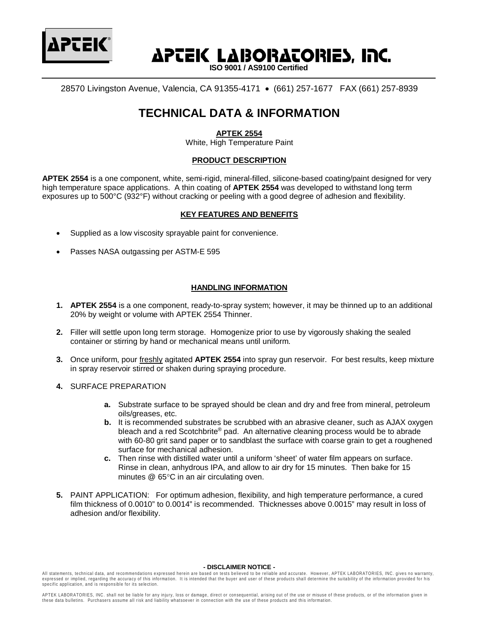

# **APCEK LABORACORIES, INC.**

 **ISO 9001 / AS9100 Certified**

28570 Livingston Avenue, Valencia, CA 91355-4171 • (661) 257-1677 FAX (661) 257-8939

## **TECHNICAL DATA & INFORMATION**

### **APTEK 2554**

White, High Temperature Paint

#### **PRODUCT DESCRIPTION**

**APTEK 2554** is a one component, white, semi-rigid, mineral-filled, silicone-based coating/paint designed for very high temperature space applications. A thin coating of **APTEK 2554** was developed to withstand long term exposures up to 500°C (932°F) without cracking or peeling with a good degree of adhesion and flexibility.

#### **KEY FEATURES AND BENEFITS**

- Supplied as a low viscosity sprayable paint for convenience.
- Passes NASA outgassing per ASTM-E 595

#### **HANDLING INFORMATION**

- **1. APTEK 2554** is a one component, ready-to-spray system; however, it may be thinned up to an additional 20% by weight or volume with APTEK 2554 Thinner.
- **2.** Filler will settle upon long term storage. Homogenize prior to use by vigorously shaking the sealed container or stirring by hand or mechanical means until uniform.
- **3.** Once uniform, pour freshly agitated **APTEK 2554** into spray gun reservoir. For best results, keep mixture in spray reservoir stirred or shaken during spraying procedure.
- **4.** SURFACE PREPARATION
	- **a.** Substrate surface to be sprayed should be clean and dry and free from mineral, petroleum oils/greases, etc.
	- **b.** It is recommended substrates be scrubbed with an abrasive cleaner, such as AJAX oxygen bleach and a red Scotchbrite® pad. An alternative cleaning process would be to abrade with 60-80 grit sand paper or to sandblast the surface with coarse grain to get a roughened surface for mechanical adhesion.
	- **c.** Then rinse with distilled water until a uniform 'sheet' of water film appears on surface. Rinse in clean, anhydrous IPA, and allow to air dry for 15 minutes. Then bake for 15 minutes @ 65°C in an air circulating oven.
- **5.** PAINT APPLICATION: For optimum adhesion, flexibility, and high temperature performance, a cured film thickness of 0.0010" to 0.0014" is recommended. Thicknesses above 0.0015" may result in loss of adhesion and/or flexibility.

#### **- DISCLAIMER NOTICE -**

All statements, technical data, and recommendations expressed herein are based on tests believed to be reliable and accurate. However, APTEK LABORATORIES, INC. gives no warranty, expressed or implied, regarding the accuracy of this information. It is intended that the buyer and user of these products shall determine the suitability of the information provided for his specific application, and is responsible for its selection.